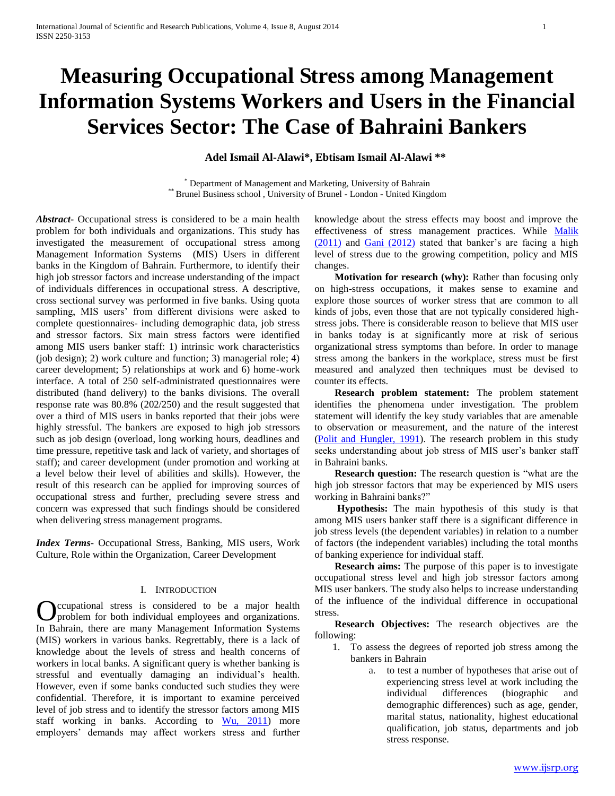# **Measuring Occupational Stress among Management Information Systems Workers and Users in the Financial Services Sector: The Case of Bahraini Bankers**

**Adel Ismail Al-Alawi\*, Ebtisam Ismail Al-Alawi \*\***

\* Department of Management and Marketing, University of Bahrain \*\* Brunel Business school , University of Brunel - London - United Kingdom

*Abstract***-** Occupational stress is considered to be a main health problem for both individuals and organizations. This study has investigated the measurement of occupational stress among Management Information Systems (MIS) Users in different banks in the Kingdom of Bahrain. Furthermore, to identify their high job stressor factors and increase understanding of the impact of individuals differences in occupational stress. A descriptive, cross sectional survey was performed in five banks. Using quota sampling, MIS users' from different divisions were asked to complete questionnaires- including demographic data, job stress and stressor factors. Six main stress factors were identified among MIS users banker staff: 1) intrinsic work characteristics (job design); 2) work culture and function; 3) managerial role; 4) career development; 5) relationships at work and 6) home-work interface. A total of 250 self-administrated questionnaires were distributed (hand delivery) to the banks divisions. The overall response rate was 80.8% (202/250) and the result suggested that over a third of MIS users in banks reported that their jobs were highly stressful. The bankers are exposed to high job stressors such as job design (overload, long working hours, deadlines and time pressure, repetitive task and lack of variety, and shortages of staff); and career development (under promotion and working at a level below their level of abilities and skills). However, the result of this research can be applied for improving sources of occupational stress and further, precluding severe stress and concern was expressed that such findings should be considered when delivering stress management programs.

*Index Terms*- Occupational Stress, Banking, MIS users, Work Culture, Role within the Organization, Career Development

#### I. INTRODUCTION

ccupational stress is considered to be a major health Occupational stress is considered to be a major health problem for both individual employees and organizations. In Bahrain, there are many Management Information Systems (MIS) workers in various banks. Regrettably, there is a lack of knowledge about the levels of stress and health concerns of workers in local banks. A significant query is whether banking is stressful and eventually damaging an individual's health. However, even if some banks conducted such studies they were confidential. Therefore, it is important to examine perceived level of job stress and to identify the stressor factors among MIS staff working in banks. According to  $Wu$ , 2011) more employers' demands may affect workers stress and further

knowledge about the stress effects may boost and improve the effectiveness of stress management practices. While Malik (2011) and Gani (2012) stated that banker's are facing a high level of stress due to the growing competition, policy and MIS changes.

 **Motivation for research (why):** Rather than focusing only on high-stress occupations, it makes sense to examine and explore those sources of worker stress that are common to all kinds of jobs, even those that are not typically considered highstress jobs. There is considerable reason to believe that MIS user in banks today is at significantly more at risk of serious organizational stress symptoms than before. In order to manage stress among the bankers in the workplace, stress must be first measured and analyzed then techniques must be devised to counter its effects.

 **Research problem statement:** The problem statement identifies the phenomena under investigation. The problem statement will identify the key study variables that are amenable to observation or measurement, and the nature of the interest (Polit and Hungler, 1991). The research problem in this study seeks understanding about job stress of MIS user's banker staff in Bahraini banks.

 **Research question:** The research question is "what are the high job stressor factors that may be experienced by MIS users working in Bahraini banks?"

 **Hypothesis:** The main hypothesis of this study is that among MIS users banker staff there is a significant difference in job stress levels (the dependent variables) in relation to a number of factors (the independent variables) including the total months of banking experience for individual staff.

 **Research aims:** The purpose of this paper is to investigate occupational stress level and high job stressor factors among MIS user bankers. The study also helps to increase understanding of the influence of the individual difference in occupational stress.

 **Research Objectives:** The research objectives are the following:

- 1. To assess the degrees of reported job stress among the bankers in Bahrain
	- a. to test a number of hypotheses that arise out of experiencing stress level at work including the individual differences (biographic and demographic differences) such as age, gender, marital status, nationality, highest educational qualification, job status, departments and job stress response.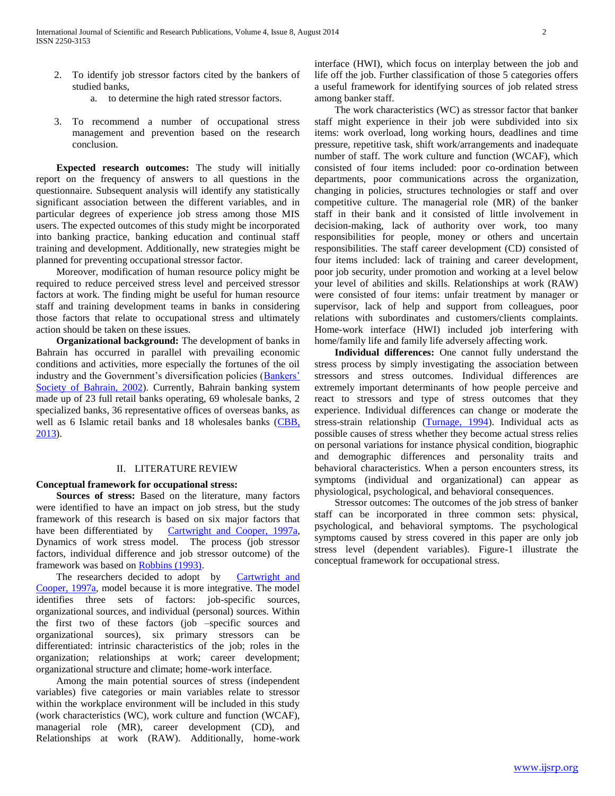- 2. To identify job stressor factors cited by the bankers of studied banks,
	- a. to determine the high rated stressor factors.
- 3. To recommend a number of occupational stress management and prevention based on the research conclusion.

 **Expected research outcomes:** The study will initially report on the frequency of answers to all questions in the questionnaire. Subsequent analysis will identify any statistically significant association between the different variables, and in particular degrees of experience job stress among those MIS users. The expected outcomes of this study might be incorporated into banking practice, banking education and continual staff training and development. Additionally, new strategies might be planned for preventing occupational stressor factor.

Moreover, modification of human resource policy might be required to reduce perceived stress level and perceived stressor factors at work. The finding might be useful for human resource staff and training development teams in banks in considering those factors that relate to occupational stress and ultimately action should be taken on these issues.

 **Organizational background:** The development of banks in Bahrain has occurred in parallel with prevailing economic conditions and activities, more especially the fortunes of the oil industry and the Government's diversification policies (Bankers' Society of Bahrain, 2002). Currently, Bahrain banking system made up of 23 full retail banks operating, 69 wholesale banks, 2 specialized banks, 36 representative offices of overseas banks, as well as 6 Islamic retail banks and 18 wholesales banks (CBB, 2013).

#### II. LITERATURE REVIEW

#### **Conceptual framework for occupational stress:**

 **Sources of stress:** Based on the literature, many factors were identified to have an impact on job stress, but the study framework of this research is based on six major factors that have been differentiated by Cartwright and Cooper, 1997a, Dynamics of work stress model. The process (job stressor factors, individual difference and job stressor outcome) of the framework was based on Robbins (1993).

The researchers decided to adopt by Cartwright and Cooper, 1997a, model because it is more integrative. The model identifies three sets of factors: job-specific sources, organizational sources, and individual (personal) sources. Within the first two of these factors (job –specific sources and organizational sources), six primary stressors can be differentiated: intrinsic characteristics of the job; roles in the organization; relationships at work; career development; organizational structure and climate; home-work interface.

Among the main potential sources of stress (independent variables) five categories or main variables relate to stressor within the workplace environment will be included in this study (work characteristics (WC), work culture and function (WCAF), managerial role (MR), career development (CD), and Relationships at work (RAW). Additionally, home-work interface (HWI), which focus on interplay between the job and life off the job. Further classification of those 5 categories offers a useful framework for identifying sources of job related stress among banker staff.

The work characteristics (WC) as stressor factor that banker staff might experience in their job were subdivided into six items: work overload, long working hours, deadlines and time pressure, repetitive task, shift work/arrangements and inadequate number of staff. The work culture and function (WCAF), which consisted of four items included: poor co-ordination between departments, poor communications across the organization, changing in policies, structures technologies or staff and over competitive culture. The managerial role (MR) of the banker staff in their bank and it consisted of little involvement in decision-making, lack of authority over work, too many responsibilities for people, money or others and uncertain responsibilities. The staff career development (CD) consisted of four items included: lack of training and career development, poor job security, under promotion and working at a level below your level of abilities and skills. Relationships at work (RAW) were consisted of four items: unfair treatment by manager or supervisor, lack of help and support from colleagues, poor relations with subordinates and customers/clients complaints. Home-work interface (HWI) included job interfering with home/family life and family life adversely affecting work.

 **Individual differences:** One cannot fully understand the stress process by simply investigating the association between stressors and stress outcomes. Individual differences are extremely important determinants of how people perceive and react to stressors and type of stress outcomes that they experience. Individual differences can change or moderate the stress-strain relationship (Turnage, 1994). Individual acts as possible causes of stress whether they become actual stress relies on personal variations for instance physical condition, biographic and demographic differences and personality traits and behavioral characteristics. When a person encounters stress, its symptoms (individual and organizational) can appear as physiological, psychological, and behavioral consequences.

Stressor outcomes: The outcomes of the job stress of banker staff can be incorporated in three common sets: physical, psychological, and behavioral symptoms. The psychological symptoms caused by stress covered in this paper are only job stress level (dependent variables). Figure-1 illustrate the conceptual framework for occupational stress.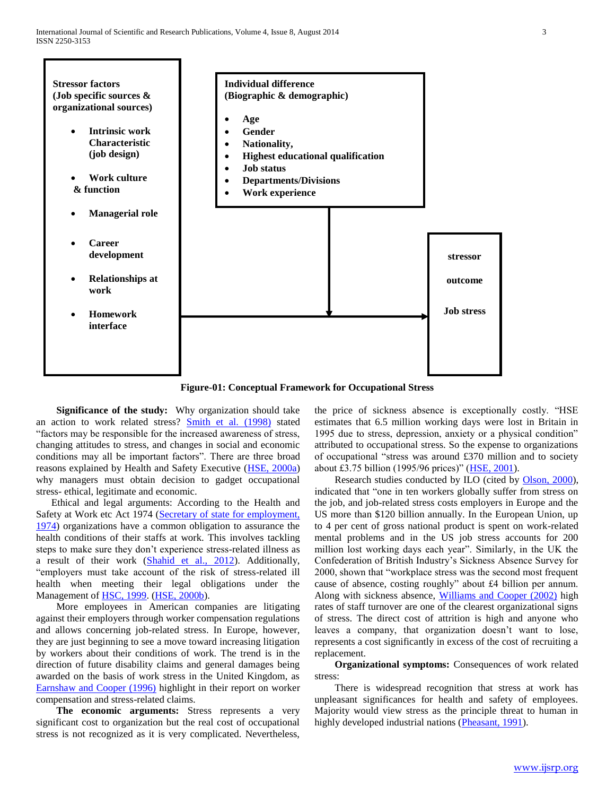

**Figure-01: Conceptual Framework for Occupational Stress**

 **Significance of the study:** Why organization should take an action to work related stress? Smith et al. (1998) stated "factors may be responsible for the increased awareness of stress, changing attitudes to stress, and changes in social and economic conditions may all be important factors". There are three broad reasons explained by Health and Safety Executive (HSE, 2000a) why managers must obtain decision to gadget occupational stress- ethical, legitimate and economic.

 Ethical and legal arguments: According to the Health and Safety at Work etc Act 1974 (Secretary of state for employment, 1974) organizations have a common obligation to assurance the health conditions of their staffs at work. This involves tackling steps to make sure they don't experience stress-related illness as a result of their work (Shahid et al., 2012). Additionally, "employers must take account of the risk of stress-related ill health when meeting their legal obligations under the Management of HSC, 1999. (HSE, 2000b).

More employees in American companies are litigating against their employers through worker compensation regulations and allows concerning job-related stress. In Europe, however, they are just beginning to see a move toward increasing litigation by workers about their conditions of work. The trend is in the direction of future disability claims and general damages being awarded on the basis of work stress in the United Kingdom, as Earnshaw and Cooper (1996) highlight in their report on worker compensation and stress-related claims.

 **The economic arguments:** Stress represents a very significant cost to organization but the real cost of occupational stress is not recognized as it is very complicated. Nevertheless,

the price of sickness absence is exceptionally costly. "HSE estimates that 6.5 million working days were lost in Britain in 1995 due to stress, depression, anxiety or a physical condition" attributed to occupational stress. So the expense to organizations of occupational "stress was around £370 million and to society about £3.75 billion (1995/96 prices)" (HSE, 2001).

Research studies conducted by ILO (cited by Olson, 2000), indicated that "one in ten workers globally suffer from stress on the job, and job-related stress costs employers in Europe and the US more than \$120 billion annually. In the European Union, up to 4 per cent of gross national product is spent on work-related mental problems and in the US job stress accounts for 200 million lost working days each year". Similarly, in the UK the Confederation of British Industry's Sickness Absence Survey for 2000, shown that "workplace stress was the second most frequent cause of absence, costing roughly" about £4 billion per annum. Along with sickness absence, Williams and Cooper (2002) high rates of staff turnover are one of the clearest organizational signs of stress. The direct cost of attrition is high and anyone who leaves a company, that organization doesn't want to lose, represents a cost significantly in excess of the cost of recruiting a replacement.

 **Organizational symptoms:** Consequences of work related stress:

There is widespread recognition that stress at work has unpleasant significances for health and safety of employees. Majority would view stress as the principle threat to human in highly developed industrial nations (Pheasant, 1991).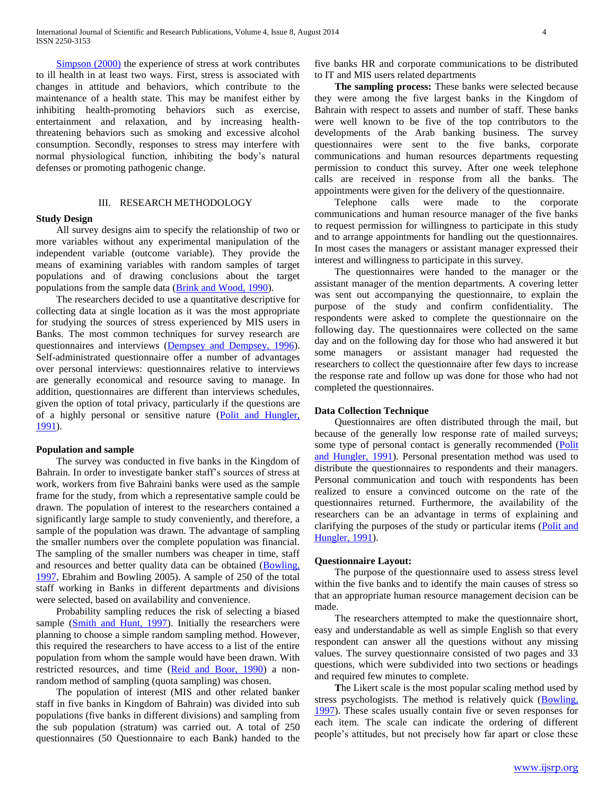Simpson (2000) the experience of stress at work contributes to ill health in at least two ways. First, stress is associated with changes in attitude and behaviors, which contribute to the maintenance of a health state. This may be manifest either by inhibiting health-promoting behaviors such as exercise, entertainment and relaxation, and by increasing healththreatening behaviors such as smoking and excessive alcohol consumption. Secondly, responses to stress may interfere with normal physiological function, inhibiting the body's natural defenses or promoting pathogenic change.

#### III. RESEARCH METHODOLOGY

#### **Study Design**

All survey designs aim to specify the relationship of two or more variables without any experimental manipulation of the independent variable (outcome variable). They provide the means of examining variables with random samples of target populations and of drawing conclusions about the target populations from the sample data (Brink and Wood, 1990).

The researchers decided to use a quantitative descriptive for collecting data at single location as it was the most appropriate for studying the sources of stress experienced by MIS users in Banks. The most common techniques for survey research are questionnaires and interviews (Dempsey and Dempsey, 1996). Self-administrated questionnaire offer a number of advantages over personal interviews: questionnaires relative to interviews are generally economical and resource saving to manage. In addition, questionnaires are different than interviews schedules, given the option of total privacy, particularly if the questions are of a highly personal or sensitive nature (Polit and Hungler, 1991).

#### **Population and sample**

The survey was conducted in five banks in the Kingdom of Bahrain. In order to investigate banker staff's sources of stress at work, workers from five Bahraini banks were used as the sample frame for the study, from which a representative sample could be drawn. The population of interest to the researchers contained a significantly large sample to study conveniently, and therefore, a sample of the population was drawn. The advantage of sampling the smaller numbers over the complete population was financial. The sampling of the smaller numbers was cheaper in time, staff and resources and better quality data can be obtained (Bowling, 1997, Ebrahim and Bowling 2005). A sample of 250 of the total staff working in Banks in different departments and divisions were selected, based on availability and convenience.

Probability sampling reduces the risk of selecting a biased sample (Smith and Hunt, 1997). Initially the researchers were planning to choose a simple random sampling method. However, this required the researchers to have access to a list of the entire population from whom the sample would have been drawn. With restricted resources, and time (Reid and Boor, 1990) a nonrandom method of sampling (quota sampling) was chosen.

The population of interest (MIS and other related banker staff in five banks in Kingdom of Bahrain) was divided into sub populations (five banks in different divisions) and sampling from the sub population (stratum) was carried out. A total of 250 questionnaires (50 Questionnaire to each Bank) handed to the

five banks HR and corporate communications to be distributed to IT and MIS users related departments

 **The sampling process:** These banks were selected because they were among the five largest banks in the Kingdom of Bahrain with respect to assets and number of staff. These banks were well known to be five of the top contributors to the developments of the Arab banking business. The survey questionnaires were sent to the five banks, corporate communications and human resources departments requesting permission to conduct this survey. After one week telephone calls are received in response from all the banks. The appointments were given for the delivery of the questionnaire.

Telephone calls were made to the corporate communications and human resource manager of the five banks to request permission for willingness to participate in this study and to arrange appointments for handling out the questionnaires. In most cases the managers or assistant manager expressed their interest and willingness to participate in this survey.

The questionnaires were handed to the manager or the assistant manager of the mention departments. A covering letter was sent out accompanying the questionnaire, to explain the purpose of the study and confirm confidentiality. The respondents were asked to complete the questionnaire on the following day. The questionnaires were collected on the same day and on the following day for those who had answered it but some managers or assistant manager had requested the researchers to collect the questionnaire after few days to increase the response rate and follow up was done for those who had not completed the questionnaires.

#### **Data Collection Technique**

Questionnaires are often distributed through the mail, but because of the generally low response rate of mailed surveys; some type of personal contact is generally recommended (Polit and Hungler, 1991). Personal presentation method was used to distribute the questionnaires to respondents and their managers. Personal communication and touch with respondents has been realized to ensure a convinced outcome on the rate of the questionnaires returned. Furthermore, the availability of the researchers can be an advantage in terms of explaining and clarifying the purposes of the study or particular items (Polit and Hungler, 1991).

#### **Questionnaire Layout:**

The purpose of the questionnaire used to assess stress level within the five banks and to identify the main causes of stress so that an appropriate human resource management decision can be made.

The researchers attempted to make the questionnaire short, easy and understandable as well as simple English so that every respondent can answer all the questions without any missing values. The survey questionnaire consisted of two pages and 33 questions, which were subdivided into two sections or headings and required few minutes to complete.

 **T**he Likert scale is the most popular scaling method used by stress psychologists. The method is relatively quick (Bowling, 1997). These scales usually contain five or seven responses for each item. The scale can indicate the ordering of different people's attitudes, but not precisely how far apart or close these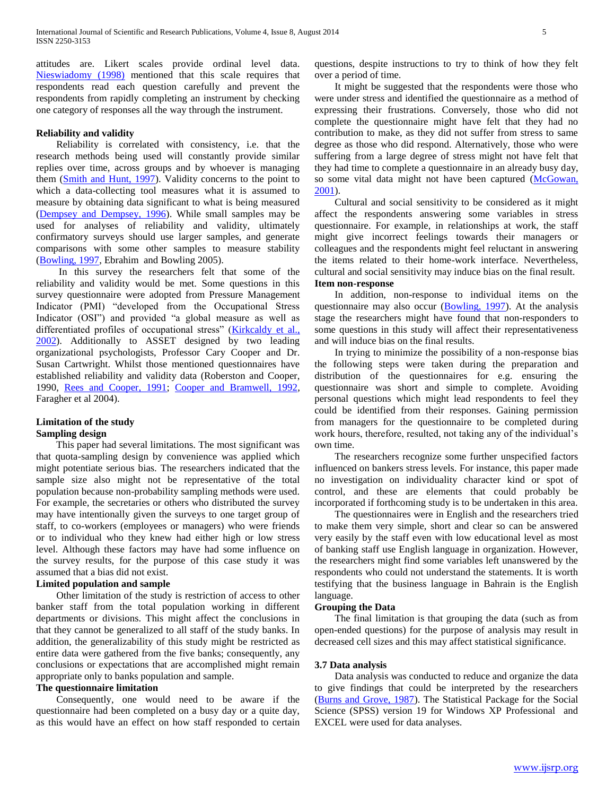attitudes are. Likert scales provide ordinal level data. Nieswiadomy (1998) mentioned that this scale requires that respondents read each question carefully and prevent the respondents from rapidly completing an instrument by checking one category of responses all the way through the instrument.

#### **Reliability and validity**

Reliability is correlated with consistency, i.e. that the research methods being used will constantly provide similar replies over time, across groups and by whoever is managing them (Smith and Hunt, 1997). Validity concerns to the point to which a data-collecting tool measures what it is assumed to measure by obtaining data significant to what is being measured (Dempsey and Dempsey, 1996). While small samples may be used for analyses of reliability and validity, ultimately confirmatory surveys should use larger samples, and generate comparisons with some other samples to measure stability (Bowling, 1997, Ebrahim and Bowling 2005).

In this survey the researchers felt that some of the reliability and validity would be met. Some questions in this survey questionnaire were adopted from Pressure Management Indicator (PMI) "developed from the Occupational Stress Indicator (OSI") and provided "a global measure as well as differentiated profiles of occupational stress" (Kirkcaldy et al., 2002). Additionally to ASSET designed by two leading organizational psychologists, Professor Cary Cooper and Dr. Susan Cartwright. Whilst those mentioned questionnaires have established reliability and validity data (Roberston and Cooper, 1990, Rees and Cooper, 1991; Cooper and Bramwell, 1992, Faragher et al 2004).

#### **Limitation of the study Sampling design**

This paper had several limitations. The most significant was that quota-sampling design by convenience was applied which might potentiate serious bias. The researchers indicated that the sample size also might not be representative of the total population because non-probability sampling methods were used. For example, the secretaries or others who distributed the survey may have intentionally given the surveys to one target group of staff, to co-workers (employees or managers) who were friends or to individual who they knew had either high or low stress level. Although these factors may have had some influence on the survey results, for the purpose of this case study it was assumed that a bias did not exist.

#### **Limited population and sample**

Other limitation of the study is restriction of access to other banker staff from the total population working in different departments or divisions. This might affect the conclusions in that they cannot be generalized to all staff of the study banks. In addition, the generalizability of this study might be restricted as entire data were gathered from the five banks; consequently, any conclusions or expectations that are accomplished might remain appropriate only to banks population and sample.

#### **The questionnaire limitation**

Consequently, one would need to be aware if the questionnaire had been completed on a busy day or a quite day, as this would have an effect on how staff responded to certain

questions, despite instructions to try to think of how they felt over a period of time.

It might be suggested that the respondents were those who were under stress and identified the questionnaire as a method of expressing their frustrations. Conversely, those who did not complete the questionnaire might have felt that they had no contribution to make, as they did not suffer from stress to same degree as those who did respond. Alternatively, those who were suffering from a large degree of stress might not have felt that they had time to complete a questionnaire in an already busy day, so some vital data might not have been captured (McGowan, 2001).

Cultural and social sensitivity to be considered as it might affect the respondents answering some variables in stress questionnaire. For example, in relationships at work, the staff might give incorrect feelings towards their managers or colleagues and the respondents might feel reluctant in answering the items related to their home-work interface. Nevertheless, cultural and social sensitivity may induce bias on the final result. **Item non-response** 

In addition, non-response to individual items on the questionnaire may also occur (Bowling, 1997). At the analysis stage the researchers might have found that non-responders to some questions in this study will affect their representativeness and will induce bias on the final results.

In trying to minimize the possibility of a non-response bias the following steps were taken during the preparation and distribution of the questionnaires for e.g. ensuring the questionnaire was short and simple to complete. Avoiding personal questions which might lead respondents to feel they could be identified from their responses. Gaining permission from managers for the questionnaire to be completed during work hours, therefore, resulted, not taking any of the individual's own time.

The researchers recognize some further unspecified factors influenced on bankers stress levels. For instance, this paper made no investigation on individuality character kind or spot of control, and these are elements that could probably be incorporated if forthcoming study is to be undertaken in this area.

The questionnaires were in English and the researchers tried to make them very simple, short and clear so can be answered very easily by the staff even with low educational level as most of banking staff use English language in organization. However, the researchers might find some variables left unanswered by the respondents who could not understand the statements. It is worth testifying that the business language in Bahrain is the English language.

#### **Grouping the Data**

The final limitation is that grouping the data (such as from open-ended questions) for the purpose of analysis may result in decreased cell sizes and this may affect statistical significance.

#### **3.7 Data analysis**

Data analysis was conducted to reduce and organize the data to give findings that could be interpreted by the researchers (Burns and Grove, 1987). The Statistical Package for the Social Science (SPSS) version 19 for Windows XP Professional and EXCEL were used for data analyses.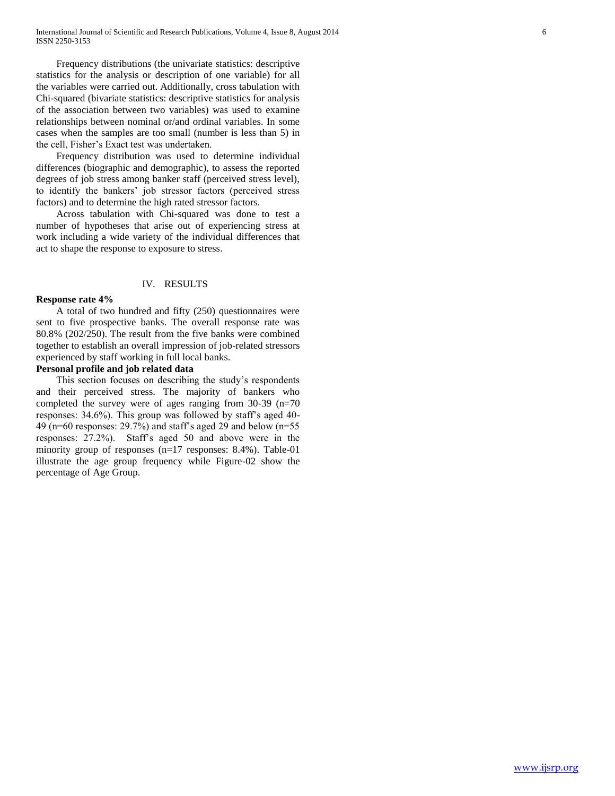Frequency distributions (the univariate statistics: descriptive statistics for the analysis or description of one variable) for all the variables were carried out. Additionally, cross tabulation with Chi-squared (bivariate statistics: descriptive statistics for analysis of the association between two variables) was used to examine relationships between nominal or/and ordinal variables. In some cases when the samples are too small (number is less than 5) in the cell, Fisher's Exact test was undertaken.

Frequency distribution was used to determine individual differences (biographic and demographic), to assess the reported degrees of job stress among banker staff (perceived stress level), to identify the bankers' job stressor factors (perceived stress factors) and to determine the high rated stressor factors.

Across tabulation with Chi-squared was done to test a number of hypotheses that arise out of experiencing stress at work including a wide variety of the individual differences that act to shape the response to exposure to stress.

#### IV. RESULTS

#### **Response rate 4%**

A total of two hundred and fifty (250) questionnaires were sent to five prospective banks. The overall response rate was 80.8% (202/250). The result from the five banks were combined together to establish an overall impression of job-related stressors experienced by staff working in full local banks.

#### **Personal profile and job related data**

This section focuses on describing the study's respondents and their perceived stress. The majority of bankers who completed the survey were of ages ranging from 30-39 (n=70 responses: 34.6%). This group was followed by staff's aged 40- 49 (n=60 responses: 29.7%) and staff's aged 29 and below (n=55 responses: 27.2%). Staff's aged 50 and above were in the minority group of responses (n=17 responses: 8.4%). Table-01 illustrate the age group frequency while Figure-02 show the percentage of Age Group.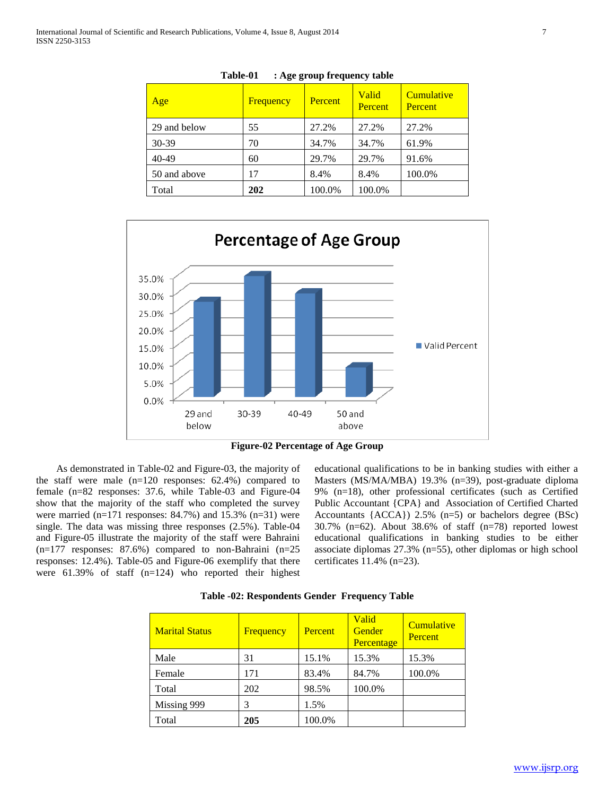| Age          | Frequency | Percent | Valid<br><b>Percent</b> | Cumulative<br><b>Percent</b> |
|--------------|-----------|---------|-------------------------|------------------------------|
| 29 and below | 55        | 27.2%   | 27.2%                   | 27.2%                        |
| 30-39        | 70        | 34.7%   | 34.7%                   | 61.9%                        |
| $40 - 49$    | 60        | 29.7%   | 29.7%                   | 91.6%                        |
| 50 and above | 17        | 8.4%    | 8.4%                    | 100.0%                       |
| Total        | 202       | 100.0%  | 100.0%                  |                              |

**Table-01 : Age group frequency table**



**Figure-02 Percentage of Age Group**

As demonstrated in Table-02 and Figure-03, the majority of the staff were male (n=120 responses: 62.4%) compared to female (n=82 responses: 37.6, while Table-03 and Figure-04 show that the majority of the staff who completed the survey were married (n=171 responses: 84.7%) and 15.3% (n=31) were single. The data was missing three responses (2.5%). Table-04 and Figure-05 illustrate the majority of the staff were Bahraini  $(n=177$  responses: 87.6%) compared to non-Bahraini  $(n=25)$ responses: 12.4%). Table-05 and Figure-06 exemplify that there were 61.39% of staff (n=124) who reported their highest

educational qualifications to be in banking studies with either a Masters (MS/MA/MBA) 19.3% (n=39), post-graduate diploma 9% (n=18), other professional certificates (such as Certified Public Accountant {CPA} and Association of Certified Charted Accountants  ${ACCA}$ ) 2.5% (n=5) or bachelors degree (BSc) 30.7% (n=62). About 38.6% of staff (n=78) reported lowest educational qualifications in banking studies to be either associate diplomas 27.3% (n=55), other diplomas or high school certificates 11.4% (n=23).

| <b>Marital Status</b> | Frequency | Percent | <b>Valid</b><br>Gender<br>Percentage | Cumulative<br><b>Percent</b> |
|-----------------------|-----------|---------|--------------------------------------|------------------------------|
| Male                  | 31        | 15.1%   | 15.3%                                | 15.3%                        |
| Female                | 171       | 83.4%   | 84.7%                                | 100.0%                       |
| Total                 | 202       | 98.5%   | 100.0%                               |                              |
| Missing 999           |           | 1.5%    |                                      |                              |
| Total                 | 205       | 100.0%  |                                      |                              |

**Table -02: Respondents Gender Frequency Table**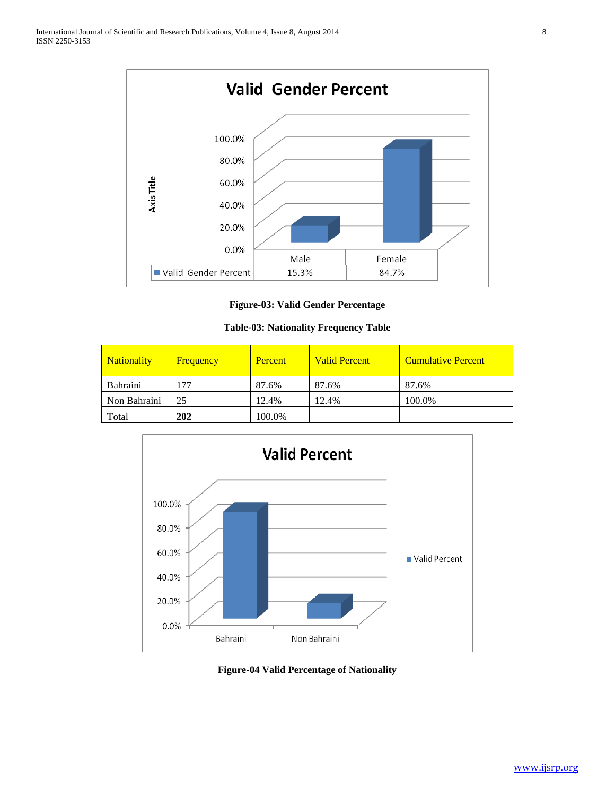

**Figure-03: Valid Gender Percentage**

# **Table-03: Nationality Frequency Table**

| <b>Nationality</b> | Frequency | Percent | <b>Valid Percent</b> | <b>Cumulative Percent</b> |
|--------------------|-----------|---------|----------------------|---------------------------|
| Bahraini           | 177       | 87.6%   | 87.6%                | 87.6%                     |
| Non Bahraini       | 25        | 12.4%   | 12.4%                | 100.0%                    |
| Total              | 202       | 100.0%  |                      |                           |



**Figure-04 Valid Percentage of Nationality**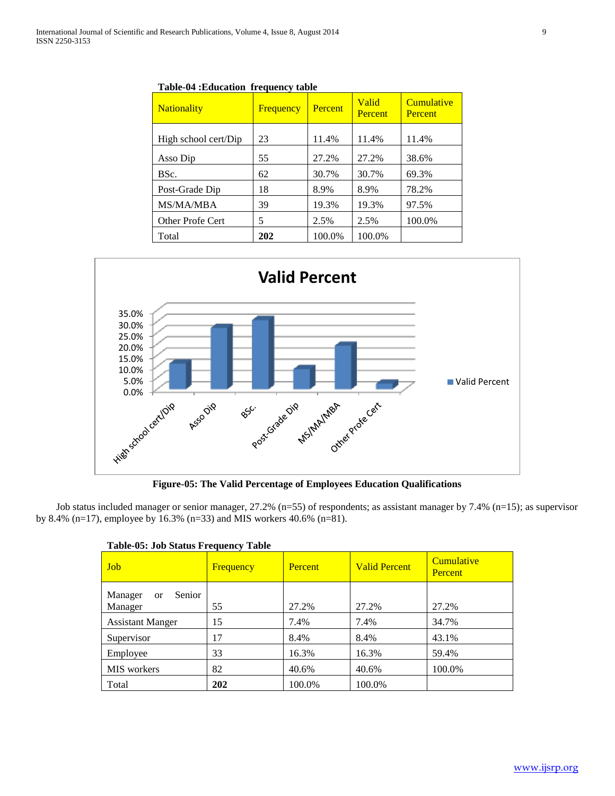| <b>Nationality</b>      | Frequency | Percent | Valid<br><b>Percent</b> | Cumulative<br>Percent |
|-------------------------|-----------|---------|-------------------------|-----------------------|
| High school cert/Dip    | 23        | 11.4%   | 11.4%                   | 11.4%                 |
| Asso Dip                | 55        | 27.2%   | 27.2%                   | 38.6%                 |
| BSc.                    | 62        | 30.7%   | 30.7%                   | 69.3%                 |
| Post-Grade Dip          | 18        | 8.9%    | 8.9%                    | 78.2%                 |
| <b>MS/MA/MBA</b>        | 39        | 19.3%   | 19.3%                   | 97.5%                 |
| <b>Other Profe Cert</b> | 5         | 2.5%    | 2.5%                    | 100.0%                |
| Total                   | 202       | 100.0%  | 100.0%                  |                       |

**Table-04 :Education frequency table**



**Figure-05: The Valid Percentage of Employees Education Qualifications**

Job status included manager or senior manager, 27.2% (n=55) of respondents; as assistant manager by 7.4% (n=15); as supervisor by 8.4% (n=17), employee by 16.3% (n=33) and MIS workers 40.6% (n=81).

| <b>Job</b>                                    | Frequency | Percent | <b>Valid Percent</b> | Cumulative<br>Percent |
|-----------------------------------------------|-----------|---------|----------------------|-----------------------|
| Senior<br>Manager<br><sub>or</sub><br>Manager | 55        | 27.2%   | 27.2%                | 27.2%                 |
| <b>Assistant Manger</b>                       | 15        | 7.4%    | 7.4%                 | 34.7%                 |
| Supervisor                                    | 17        | 8.4%    | 8.4%                 | 43.1%                 |
| Employee                                      | 33        | 16.3%   | 16.3%                | 59.4%                 |
| MIS workers                                   | 82        | 40.6%   | 40.6%                | 100.0%                |
| Total                                         | 202       | 100.0%  | 100.0%               |                       |

|  | Table-05: Job Status Frequency Table |  |
|--|--------------------------------------|--|
|  |                                      |  |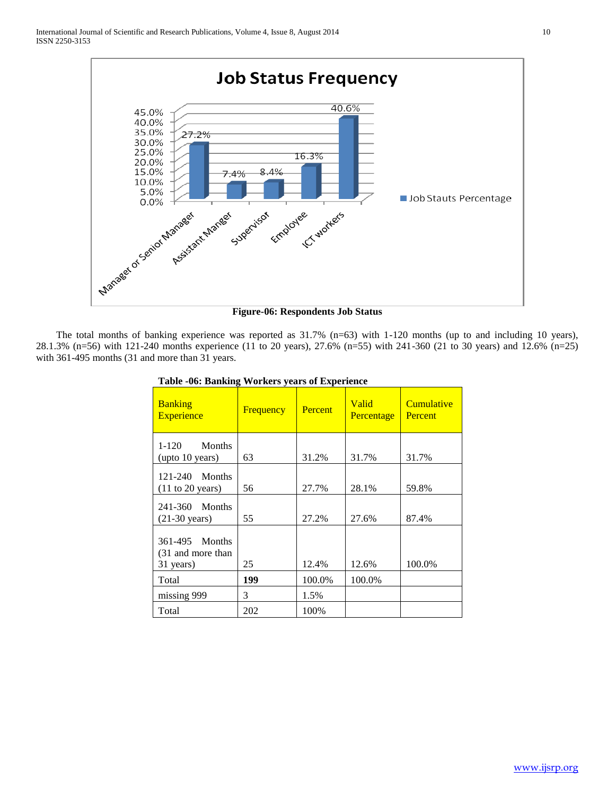

**Figure-06: Respondents Job Status**

The total months of banking experience was reported as  $31.7\%$  (n=63) with 1-120 months (up to and including 10 years), 28.1.3% (n=56) with 121-240 months experience (11 to 20 years), 27.6% (n=55) with 241-360 (21 to 30 years) and 12.6% (n=25) with 361-495 months (31 and more than 31 years.

| <b>Banking</b><br><b>Experience</b>                   | <b>Frequency</b> | <b>Percent</b> | <b>Valid</b><br><b>Percentage</b> | Cumulative<br>Percent |
|-------------------------------------------------------|------------------|----------------|-----------------------------------|-----------------------|
| $1 - 120$<br><b>Months</b><br>(upto 10 years)         | 63               | 31.2%          | 31.7%                             | 31.7%                 |
| 121-240 Months<br>$(11 \text{ to } 20 \text{ years})$ | 56               | 27.7%          | 28.1%                             | 59.8%                 |
| 241-360 Months<br>$(21-30 \text{ years})$             | 55               | 27.2%          | 27.6%                             | 87.4%                 |
| 361-495 Months<br>(31 and more than<br>31 years)      | 25               | 12.4%          | 12.6%                             | 100.0%                |
| Total                                                 | 199              | 100.0%         | 100.0%                            |                       |
| missing 999                                           | 3                | 1.5%           |                                   |                       |
| Total                                                 | 202              | 100%           |                                   |                       |

#### **Table -06: Banking Workers years of Experience**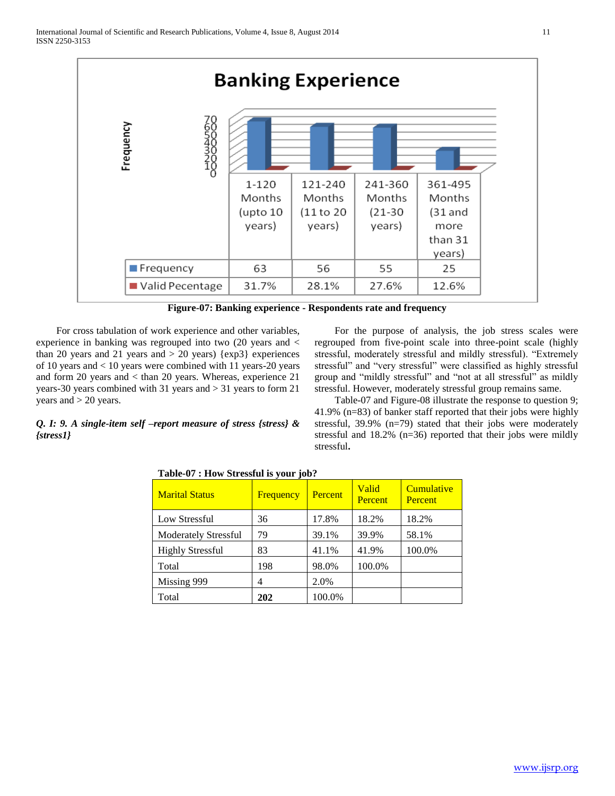

**Figure-07: Banking experience - Respondents rate and frequency**

For cross tabulation of work experience and other variables, experience in banking was regrouped into two (20 years and < than 20 years and 21 years and  $> 20$  years) {exp3} experiences of 10 years and < 10 years were combined with 11 years-20 years and form 20 years and < than 20 years. Whereas, experience 21 years-30 years combined with 31 years and > 31 years to form 21 years and > 20 years.

*Q. I: 9. A single-item self –report measure of stress {stress} &* 

*{stress1}*

For the purpose of analysis, the job stress scales were regrouped from five-point scale into three-point scale (highly stressful, moderately stressful and mildly stressful). "Extremely stressful" and "very stressful" were classified as highly stressful group and "mildly stressful" and "not at all stressful" as mildly stressful. However, moderately stressful group remains same.

Table-07 and Figure-08 illustrate the response to question 9; 41.9% (n=83) of banker staff reported that their jobs were highly stressful, 39.9% (n=79) stated that their jobs were moderately stressful and 18.2% (n=36) reported that their jobs were mildly stressful**.**

# Marital Status **Frequency Percent** Valid **Percent Cumulative Percent** Low Stressful 136 17.8% 18.2% 18.2% Moderately Stressful | 79 | 39.1% | 39.9% | 58.1% Highly Stressful | 83 | 41.1% | 41.9% | 100.0% Total 198 98.0% 100.0% Missing 999 4 2.0% Total **202** 100.0%

**Table-07 : How Stressful is your job?**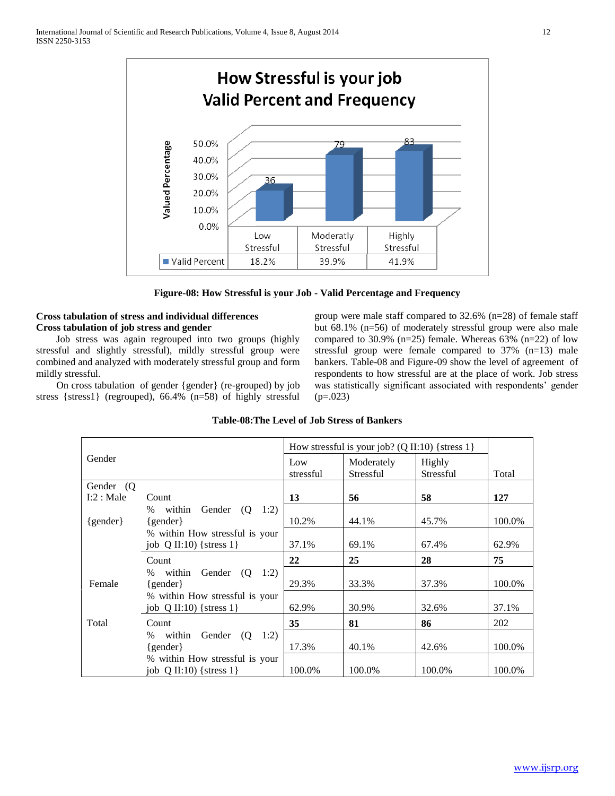

**Figure-08: How Stressful is your Job - Valid Percentage and Frequency**

#### **Cross tabulation of stress and individual differences Cross tabulation of job stress and gender**

Job stress was again regrouped into two groups (highly stressful and slightly stressful), mildly stressful group were combined and analyzed with moderately stressful group and form mildly stressful.

On cross tabulation of gender {gender} (re-grouped) by job stress {stress1} (regrouped), 66.4% (n=58) of highly stressful

group were male staff compared to 32.6% (n=28) of female staff but 68.1% (n=56) of moderately stressful group were also male compared to 30.9% (n=25) female. Whereas  $63\%$  (n=22) of low stressful group were female compared to 37% (n=13) male bankers. Table-08 and Figure-09 show the level of agreement of respondents to how stressful are at the place of work. Job stress was statistically significant associated with respondents' gender  $(p=.023)$ 

|              |                                      |                  | How stressful is your job? (Q II:10) { stress 1} |                     |        |
|--------------|--------------------------------------|------------------|--------------------------------------------------|---------------------|--------|
| Gender       |                                      | Low<br>stressful | Moderately<br>Stressful                          | Highly<br>Stressful | Total  |
| Gender (Q)   |                                      |                  |                                                  |                     |        |
| I:2:Male     | Count                                | 13               | 56                                               | 58                  | 127    |
|              | % within<br>Gender $(Q \t1:2)$       |                  |                                                  |                     |        |
| $\{gender\}$ | $\{gender\}$                         | 10.2%            | 44.1%                                            | 45.7%               | 100.0% |
|              | % within How stressful is your       |                  |                                                  |                     |        |
|              | job $Q$ II:10) {stress 1}            | 37.1%            | 69.1%                                            | 67.4%               | 62.9%  |
|              | Count                                | 22               | 25                                               | 28                  | 75     |
|              | Gender $(Q \t1:2)$<br>within<br>$\%$ |                  |                                                  |                     |        |
| Female       | $\{gender\}$                         | 29.3%            | 33.3%                                            | 37.3%               | 100.0% |
|              | % within How stressful is your       |                  |                                                  |                     |        |
|              | job $Q$ II:10) {stress 1}            | 62.9%            | 30.9%                                            | 32.6%               | 37.1%  |
| Total        | Count                                | 35               | 81                                               | 86                  | 202    |
|              | within<br>Gender (Q<br>1:2<br>$\%$   |                  |                                                  |                     |        |
|              | $\{gender\}$                         | 17.3%            | 40.1%                                            | 42.6%               | 100.0% |
|              | % within How stressful is your       |                  |                                                  |                     |        |
|              | job $Q$ II:10) {stress 1}            | 100.0%           | 100.0%                                           | 100.0%              | 100.0% |

### **Table-08:The Level of Job Stress of Bankers**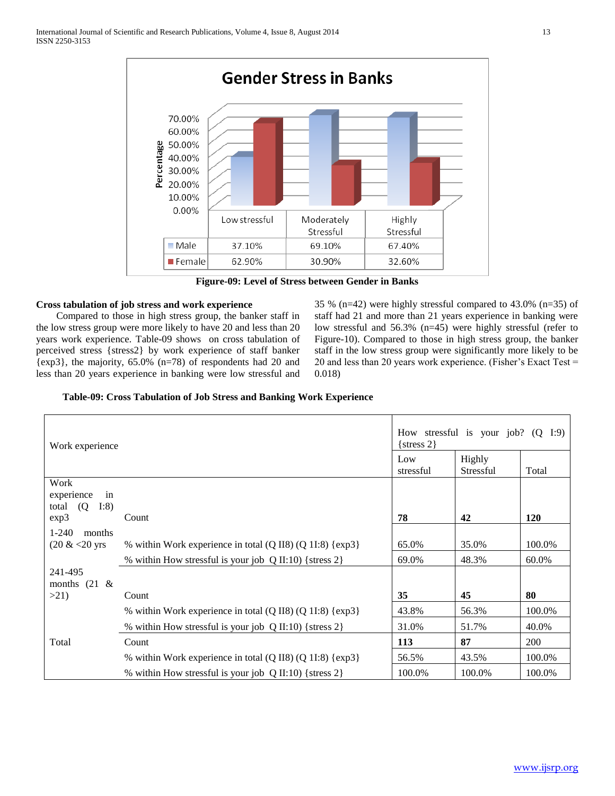

**Figure-09: Level of Stress between Gender in Banks**

#### **Cross tabulation of job stress and work experience**

Compared to those in high stress group, the banker staff in the low stress group were more likely to have 20 and less than 20 years work experience. Table-09 shows on cross tabulation of perceived stress {stress2} by work experience of staff banker {exp3}, the majority, 65.0% (n=78) of respondents had 20 and less than 20 years experience in banking were low stressful and 35 % (n=42) were highly stressful compared to 43.0% (n=35) of staff had 21 and more than 21 years experience in banking were low stressful and 56.3% (n=45) were highly stressful (refer to Figure-10). Compared to those in high stress group, the banker staff in the low stress group were significantly more likely to be 20 and less than 20 years work experience. (Fisher's Exact Test = 0.018)

#### **Table-09: Cross Tabulation of Job Stress and Banking Work Experience**

| Work experience                                |                                                                               | How stressful is your job? $(Q I:9)$<br>$\{stress 2\}$ |                     |            |
|------------------------------------------------|-------------------------------------------------------------------------------|--------------------------------------------------------|---------------------|------------|
|                                                |                                                                               | Low<br>stressful                                       | Highly<br>Stressful | Total      |
| Work<br>experience<br>in<br>total $(Q)$<br>I:8 | Count                                                                         | 78                                                     | 42                  |            |
| exp3<br>$1 - 240$<br>months                    |                                                                               |                                                        |                     | <b>120</b> |
| $(20 \& 20 \text{ yrs})$                       | % within Work experience in total (Q II8) (Q 1I:8) {exp3}                     | 65.0%                                                  | 35.0%               | 100.0%     |
|                                                | % within How stressful is your job $Q \text{ II}:10$ {stress 2}               | 69.0%                                                  | 48.3%               | 60.0%      |
| 241-495<br>months $(21 \&$                     |                                                                               |                                                        |                     |            |
| >21                                            | Count                                                                         | 35                                                     | 45                  | 80         |
|                                                | % within Work experience in total $(Q \text{ IIS}) (Q \text{ II:8}) \$ {exp3} | 43.8%                                                  | 56.3%               | 100.0%     |
|                                                | % within How stressful is your job Q II:10) {stress 2}                        | 31.0%                                                  | 51.7%               | 40.0%      |
| Total                                          | Count                                                                         | 113                                                    | 87                  | <b>200</b> |
|                                                | % within Work experience in total (Q II8) (Q 1I:8) {exp3}                     | 56.5%                                                  | 43.5%               | 100.0%     |
|                                                | % within How stressful is your job Q II:10) {stress 2}                        | 100.0%                                                 | 100.0%              | 100.0%     |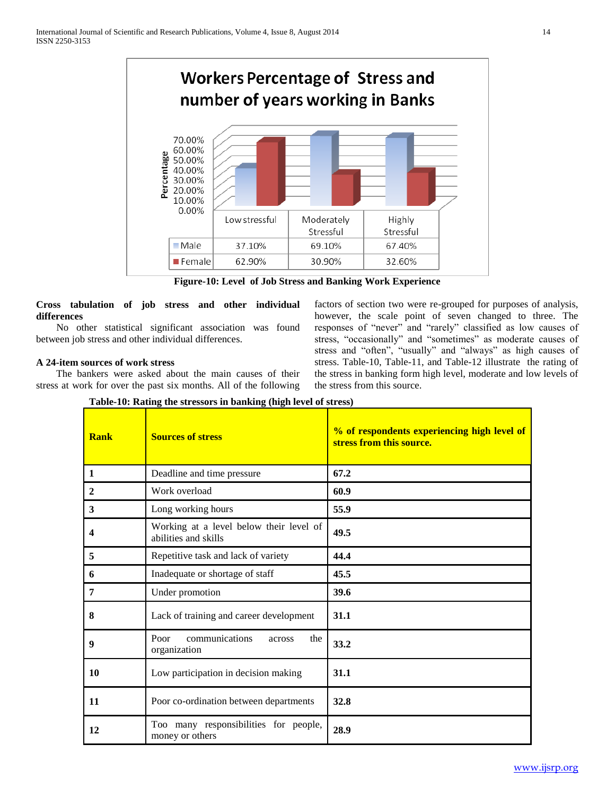

**Figure-10: Level of Job Stress and Banking Work Experience**

**Cross tabulation of job stress and other individual differences**

No other statistical significant association was found between job stress and other individual differences.

#### **A 24-item sources of work stress**

The bankers were asked about the main causes of their stress at work for over the past six months. All of the following factors of section two were re-grouped for purposes of analysis, however, the scale point of seven changed to three. The responses of "never" and "rarely" classified as low causes of stress, "occasionally" and "sometimes" as moderate causes of stress and "often", "usually" and "always" as high causes of stress. Table-10, Table-11, and Table-12 illustrate the rating of the stress in banking form high level, moderate and low levels of the stress from this source.

**Table-10: Rating the stressors in banking (high level of stress)**

| <b>Rank</b>    | <b>Sources of stress</b>                                        | % of respondents experiencing high level of<br>stress from this source. |
|----------------|-----------------------------------------------------------------|-------------------------------------------------------------------------|
| 1              | Deadline and time pressure                                      | 67.2                                                                    |
| $\overline{2}$ | Work overload                                                   | 60.9                                                                    |
| 3              | Long working hours                                              | 55.9                                                                    |
| 4              | Working at a level below their level of<br>abilities and skills | 49.5                                                                    |
| 5              | Repetitive task and lack of variety                             | 44.4                                                                    |
| 6              | Inadequate or shortage of staff                                 | 45.5                                                                    |
| 7              | Under promotion                                                 | 39.6                                                                    |
| 8              | Lack of training and career development                         | 31.1                                                                    |
| 9              | communications<br>Poor<br>the<br>across<br>organization         | 33.2                                                                    |
| 10             | Low participation in decision making                            | 31.1                                                                    |
| 11             | Poor co-ordination between departments                          | 32.8                                                                    |
| 12             | Too many responsibilities for people,<br>money or others        | 28.9                                                                    |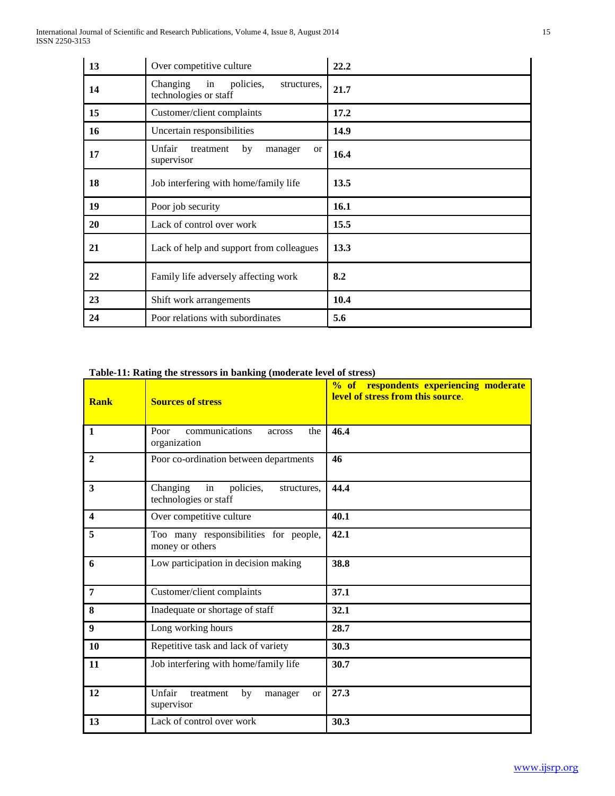| 13 | Over competitive culture                                            | 22.2 |
|----|---------------------------------------------------------------------|------|
| 14 | Changing<br>in<br>policies,<br>structures,<br>technologies or staff | 21.7 |
| 15 | Customer/client complaints                                          | 17.2 |
| 16 | Uncertain responsibilities                                          | 14.9 |
| 17 | Unfair<br>treatment<br>by<br>manager<br><sub>or</sub><br>supervisor | 16.4 |
| 18 | Job interfering with home/family life                               | 13.5 |
| 19 | Poor job security                                                   | 16.1 |
| 20 | Lack of control over work                                           | 15.5 |
| 21 | Lack of help and support from colleagues                            | 13.3 |
| 22 | Family life adversely affecting work                                | 8.2  |
| 23 | Shift work arrangements                                             | 10.4 |
| 24 | Poor relations with subordinates                                    | 5.6  |

# **Table-11: Rating the stressors in banking (moderate level of stress)**

| <b>Rank</b>      | <b>Sources of stress</b>                                            | % of respondents experiencing moderate<br>level of stress from this source. |
|------------------|---------------------------------------------------------------------|-----------------------------------------------------------------------------|
| $\mathbf{1}$     | communications<br>Poor<br>the<br>across<br>organization             | 46.4                                                                        |
| $\overline{2}$   | Poor co-ordination between departments                              | 46                                                                          |
| $\mathbf{3}$     | Changing<br>in<br>policies,<br>structures,<br>technologies or staff | 44.4                                                                        |
| $\boldsymbol{4}$ | Over competitive culture                                            | 40.1                                                                        |
| 5                | Too many responsibilities for people,<br>money or others            | 42.1                                                                        |
| 6                | Low participation in decision making                                | 38.8                                                                        |
| 7                | Customer/client complaints                                          | 37.1                                                                        |
| 8                | Inadequate or shortage of staff                                     | 32.1                                                                        |
| 9                | Long working hours                                                  | 28.7                                                                        |
| 10               | Repetitive task and lack of variety                                 | 30.3                                                                        |
| 11               | Job interfering with home/family life                               | 30.7                                                                        |
| 12               | Unfair<br>treatment<br>by<br>manager<br><b>or</b><br>supervisor     | 27.3                                                                        |
| 13               | Lack of control over work                                           | 30.3                                                                        |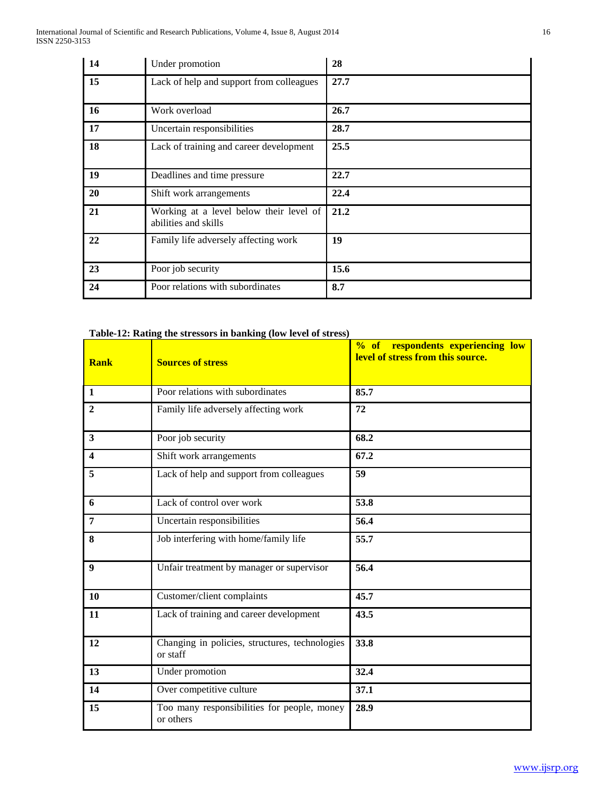| 14 | Under promotion                                                 | 28   |
|----|-----------------------------------------------------------------|------|
| 15 | Lack of help and support from colleagues                        | 27.7 |
| 16 | Work overload                                                   | 26.7 |
| 17 | Uncertain responsibilities                                      | 28.7 |
| 18 | Lack of training and career development                         | 25.5 |
| 19 | Deadlines and time pressure                                     | 22.7 |
| 20 | Shift work arrangements                                         | 22.4 |
| 21 | Working at a level below their level of<br>abilities and skills | 21.2 |
| 22 | Family life adversely affecting work                            | 19   |
| 23 | Poor job security                                               | 15.6 |
| 24 | Poor relations with subordinates                                | 8.7  |

# **Table-12: Rating the stressors in banking (low level of stress)**

| <b>Rank</b>      | <b>Sources of stress</b>                                   | % of respondents experiencing low<br>level of stress from this source. |
|------------------|------------------------------------------------------------|------------------------------------------------------------------------|
| $\mathbf{1}$     | Poor relations with subordinates                           | 85.7                                                                   |
| $\mathbf{2}$     | Family life adversely affecting work                       | 72                                                                     |
| 3                | Poor job security                                          | 68.2                                                                   |
| $\boldsymbol{4}$ | Shift work arrangements                                    | 67.2                                                                   |
| 5                | Lack of help and support from colleagues                   | $\overline{59}$                                                        |
| 6                | Lack of control over work                                  | 53.8                                                                   |
| $\overline{7}$   | Uncertain responsibilities                                 | 56.4                                                                   |
| 8                | Job interfering with home/family life                      | 55.7                                                                   |
| $\boldsymbol{Q}$ | Unfair treatment by manager or supervisor                  | 56.4                                                                   |
| 10               | Customer/client complaints                                 | 45.7                                                                   |
| 11               | Lack of training and career development                    | 43.5                                                                   |
| 12               | Changing in policies, structures, technologies<br>or staff | 33.8                                                                   |
| 13               | Under promotion                                            | 32.4                                                                   |
| 14               | Over competitive culture                                   | 37.1                                                                   |
| 15               | Too many responsibilities for people, money<br>or others   | 28.9                                                                   |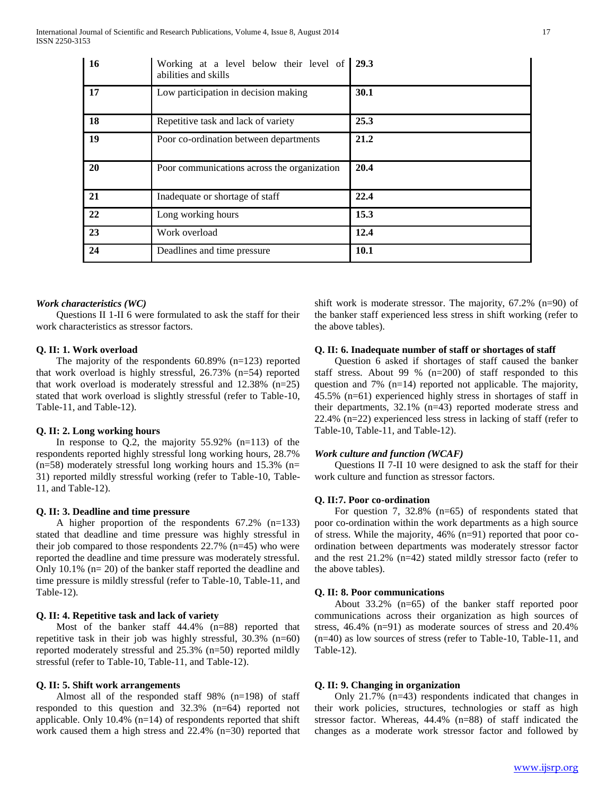| <b>16</b> | Working at a level below their level of 29.3<br>abilities and skills |             |
|-----------|----------------------------------------------------------------------|-------------|
| 17        | Low participation in decision making                                 | 30.1        |
| 18        | Repetitive task and lack of variety                                  | 25.3        |
| 19        | Poor co-ordination between departments                               | 21.2        |
| 20        | Poor communications across the organization                          | 20.4        |
| 21        | Inadequate or shortage of staff                                      | 22.4        |
| 22        | Long working hours                                                   | 15.3        |
| 23        | Work overload                                                        | 12.4        |
| 24        | Deadlines and time pressure                                          | <b>10.1</b> |

#### *Work characteristics (WC)*

Questions II 1-II 6 were formulated to ask the staff for their work characteristics as stressor factors.

#### **Q. II: 1. Work overload**

The majority of the respondents 60.89% (n=123) reported that work overload is highly stressful, 26.73% (n=54) reported that work overload is moderately stressful and 12.38% (n=25) stated that work overload is slightly stressful (refer to Table-10, Table-11, and Table-12).

#### **Q. II: 2. Long working hours**

In response to  $Q.2$ , the majority  $55.92\%$  (n=113) of the respondents reported highly stressful long working hours, 28.7%  $(n=58)$  moderately stressful long working hours and 15.3% (n= 31) reported mildly stressful working (refer to Table-10, Table-11, and Table-12).

#### **Q. II: 3. Deadline and time pressure**

A higher proportion of the respondents 67.2% (n=133) stated that deadline and time pressure was highly stressful in their job compared to those respondents 22.7% (n=45) who were reported the deadline and time pressure was moderately stressful. Only 10.1% (n= 20) of the banker staff reported the deadline and time pressure is mildly stressful (refer to Table-10, Table-11, and Table-12).

#### **Q. II: 4. Repetitive task and lack of variety**

Most of the banker staff 44.4% (n=88) reported that repetitive task in their job was highly stressful, 30.3% (n=60) reported moderately stressful and 25.3% (n=50) reported mildly stressful (refer to Table-10, Table-11, and Table-12).

#### **Q. II: 5. Shift work arrangements**

Almost all of the responded staff 98% (n=198) of staff responded to this question and 32.3% (n=64) reported not applicable. Only  $10.4\%$  (n=14) of respondents reported that shift work caused them a high stress and 22.4% (n=30) reported that shift work is moderate stressor. The majority, 67.2% (n=90) of the banker staff experienced less stress in shift working (refer to the above tables).

#### **Q. II: 6. Inadequate number of staff or shortages of staff**

Question 6 asked if shortages of staff caused the banker staff stress. About 99 % (n=200) of staff responded to this question and 7% (n=14) reported not applicable. The majority, 45.5% (n=61) experienced highly stress in shortages of staff in their departments, 32.1% (n=43) reported moderate stress and 22.4% (n=22) experienced less stress in lacking of staff (refer to Table-10, Table-11, and Table-12).

#### *Work culture and function (WCAF)*

Questions II 7-II 10 were designed to ask the staff for their work culture and function as stressor factors.

#### **Q. II:7. Poor co-ordination**

For question 7, 32.8% (n=65) of respondents stated that poor co-ordination within the work departments as a high source of stress. While the majority, 46% (n=91) reported that poor coordination between departments was moderately stressor factor and the rest 21.2% (n=42) stated mildly stressor facto (refer to the above tables).

#### **Q. II: 8. Poor communications**

About 33.2% (n=65) of the banker staff reported poor communications across their organization as high sources of stress, 46.4% (n=91) as moderate sources of stress and 20.4% (n=40) as low sources of stress (refer to Table-10, Table-11, and Table-12).

#### **Q. II: 9. Changing in organization**

Only 21.7% (n=43) respondents indicated that changes in their work policies, structures, technologies or staff as high stressor factor. Whereas, 44.4% (n=88) of staff indicated the changes as a moderate work stressor factor and followed by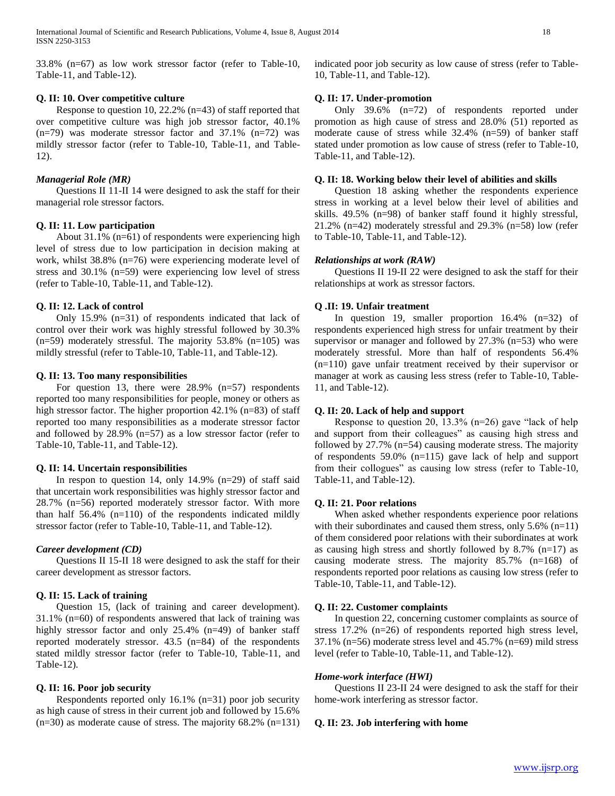33.8% (n=67) as low work stressor factor (refer to Table-10, Table-11, and Table-12).

#### **Q. II: 10. Over competitive culture**

Response to question 10, 22.2% (n=43) of staff reported that over competitive culture was high job stressor factor, 40.1%  $(n=79)$  was moderate stressor factor and 37.1%  $(n=72)$  was mildly stressor factor (refer to Table-10, Table-11, and Table-12).

#### *Managerial Role (MR)*

Questions II 11-II 14 were designed to ask the staff for their managerial role stressor factors.

#### **Q. II: 11. Low participation**

About 31.1% (n=61) of respondents were experiencing high level of stress due to low participation in decision making at work, whilst 38.8% (n=76) were experiencing moderate level of stress and 30.1% (n=59) were experiencing low level of stress (refer to Table-10, Table-11, and Table-12).

#### **Q. II: 12. Lack of control**

Only 15.9% (n=31) of respondents indicated that lack of control over their work was highly stressful followed by 30.3%  $(n=59)$  moderately stressful. The majority 53.8%  $(n=105)$  was mildly stressful (refer to Table-10, Table-11, and Table-12).

#### **Q. II: 13. Too many responsibilities**

For question 13, there were 28.9% (n=57) respondents reported too many responsibilities for people, money or others as high stressor factor. The higher proportion 42.1% (n=83) of staff reported too many responsibilities as a moderate stressor factor and followed by 28.9% (n=57) as a low stressor factor (refer to Table-10, Table-11, and Table-12).

#### **Q. II: 14. Uncertain responsibilities**

In respon to question 14, only  $14.9\%$  (n=29) of staff said that uncertain work responsibilities was highly stressor factor and 28.7% (n=56) reported moderately stressor factor. With more than half 56.4% (n=110) of the respondents indicated mildly stressor factor (refer to Table-10, Table-11, and Table-12).

#### *Career development (CD)*

Questions II 15-II 18 were designed to ask the staff for their career development as stressor factors.

#### **Q. II: 15. Lack of training**

Question 15, (lack of training and career development). 31.1% (n=60) of respondents answered that lack of training was highly stressor factor and only 25.4% (n=49) of banker staff reported moderately stressor. 43.5 (n=84) of the respondents stated mildly stressor factor (refer to Table-10, Table-11, and Table-12).

#### **Q. II: 16. Poor job security**

Respondents reported only 16.1% (n=31) poor job security as high cause of stress in their current job and followed by 15.6% (n=30) as moderate cause of stress. The majority 68.2% (n=131) indicated poor job security as low cause of stress (refer to Table-10, Table-11, and Table-12).

#### **Q. II: 17. Under-promotion**

Only 39.6% (n=72) of respondents reported under promotion as high cause of stress and 28.0% (51) reported as moderate cause of stress while 32.4% (n=59) of banker staff stated under promotion as low cause of stress (refer to Table-10, Table-11, and Table-12).

#### **Q. II: 18. Working below their level of abilities and skills**

Question 18 asking whether the respondents experience stress in working at a level below their level of abilities and skills. 49.5% (n=98) of banker staff found it highly stressful, 21.2% (n=42) moderately stressful and 29.3% (n=58) low (refer to Table-10, Table-11, and Table-12).

#### *Relationships at work (RAW)*

Questions II 19-II 22 were designed to ask the staff for their relationships at work as stressor factors.

#### **Q .II: 19. Unfair treatment**

In question 19, smaller proportion  $16.4\%$  (n=32) of respondents experienced high stress for unfair treatment by their supervisor or manager and followed by  $27.3\%$  (n=53) who were moderately stressful. More than half of respondents 56.4% (n=110) gave unfair treatment received by their supervisor or manager at work as causing less stress (refer to Table-10, Table-11, and Table-12).

#### **Q. II: 20. Lack of help and support**

Response to question 20, 13.3% (n=26) gave "lack of help and support from their colleagues" as causing high stress and followed by 27.7% (n=54) causing moderate stress. The majority of respondents 59.0% (n=115) gave lack of help and support from their collogues" as causing low stress (refer to Table-10, Table-11, and Table-12).

#### **Q. II: 21. Poor relations**

When asked whether respondents experience poor relations with their subordinates and caused them stress, only 5.6% (n=11) of them considered poor relations with their subordinates at work as causing high stress and shortly followed by  $8.7\%$  (n=17) as causing moderate stress. The majority 85.7% (n=168) of respondents reported poor relations as causing low stress (refer to Table-10, Table-11, and Table-12).

#### **Q. II: 22. Customer complaints**

In question 22, concerning customer complaints as source of stress 17.2% (n=26) of respondents reported high stress level, 37.1% (n=56) moderate stress level and 45.7% (n=69) mild stress level (refer to Table-10, Table-11, and Table-12).

#### *Home-work interface (HWI)*

Questions II 23-II 24 were designed to ask the staff for their home-work interfering as stressor factor.

#### **Q. II: 23. Job interfering with home**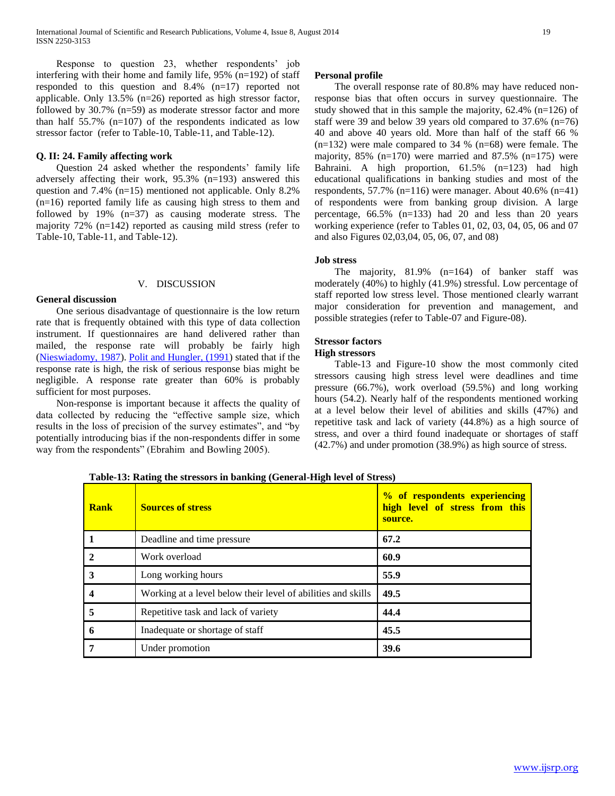Response to question 23, whether respondents' job interfering with their home and family life, 95% (n=192) of staff responded to this question and 8.4% (n=17) reported not applicable. Only 13.5% (n=26) reported as high stressor factor, followed by 30.7% (n=59) as moderate stressor factor and more than half 55.7% (n=107) of the respondents indicated as low stressor factor (refer to Table-10, Table-11, and Table-12).

#### **Q. II: 24. Family affecting work**

Question 24 asked whether the respondents' family life adversely affecting their work, 95.3% (n=193) answered this question and 7.4% (n=15) mentioned not applicable. Only 8.2% (n=16) reported family life as causing high stress to them and followed by 19% (n=37) as causing moderate stress. The majority 72% (n=142) reported as causing mild stress (refer to Table-10, Table-11, and Table-12).

#### V. DISCUSSION

**General discussion** 

One serious disadvantage of questionnaire is the low return rate that is frequently obtained with this type of data collection instrument. If questionnaires are hand delivered rather than mailed, the response rate will probably be fairly high (Nieswiadomy, 1987). Polit and Hungler, (1991) stated that if the response rate is high, the risk of serious response bias might be negligible. A response rate greater than 60% is probably sufficient for most purposes.

Non-response is important because it affects the quality of data collected by reducing the "effective sample size, which results in the loss of precision of the survey estimates", and "by potentially introducing bias if the non-respondents differ in some way from the respondents" (Ebrahim and Bowling 2005).

#### **Personal profile**

The overall response rate of 80.8% may have reduced nonresponse bias that often occurs in survey questionnaire. The study showed that in this sample the majority, 62.4% (n=126) of staff were 39 and below 39 years old compared to 37.6% (n=76) 40 and above 40 years old. More than half of the staff 66 %  $(n=132)$  were male compared to 34 %  $(n=68)$  were female. The majority,  $85\%$  (n=170) were married and  $87.5\%$  (n=175) were Bahraini. A high proportion, 61.5% (n=123) had high educational qualifications in banking studies and most of the respondents,  $57.7\%$  (n=116) were manager. About 40.6% (n=41) of respondents were from banking group division. A large percentage, 66.5% (n=133) had 20 and less than 20 years working experience (refer to Tables 01, 02, 03, 04, 05, 06 and 07 and also Figures 02,03,04, 05, 06, 07, and 08)

#### **Job stress**

The majority, 81.9% (n=164) of banker staff was moderately (40%) to highly (41.9%) stressful. Low percentage of staff reported low stress level. Those mentioned clearly warrant major consideration for prevention and management, and possible strategies (refer to Table-07 and Figure-08).

#### **Stressor factors**

#### **High stressors**

Table-13 and Figure-10 show the most commonly cited stressors causing high stress level were deadlines and time pressure (66.7%), work overload (59.5%) and long working hours (54.2). Nearly half of the respondents mentioned working at a level below their level of abilities and skills (47%) and repetitive task and lack of variety (44.8%) as a high source of stress, and over a third found inadequate or shortages of staff (42.7%) and under promotion (38.9%) as high source of stress.

| <b>Rank</b> | <b>Sources of stress</b>                                     | % of respondents experiencing<br>high level of stress from this<br>source. |
|-------------|--------------------------------------------------------------|----------------------------------------------------------------------------|
|             | Deadline and time pressure                                   | 67.2                                                                       |
|             | Work overload                                                | 60.9                                                                       |
| 3           | Long working hours                                           | 55.9                                                                       |
|             | Working at a level below their level of abilities and skills | 49.5                                                                       |
| 5           | Repetitive task and lack of variety                          | 44.4                                                                       |
| 6           | Inadequate or shortage of staff                              | 45.5                                                                       |
|             | Under promotion                                              | 39.6                                                                       |

**Table-13: Rating the stressors in banking (General-High level of Stress)**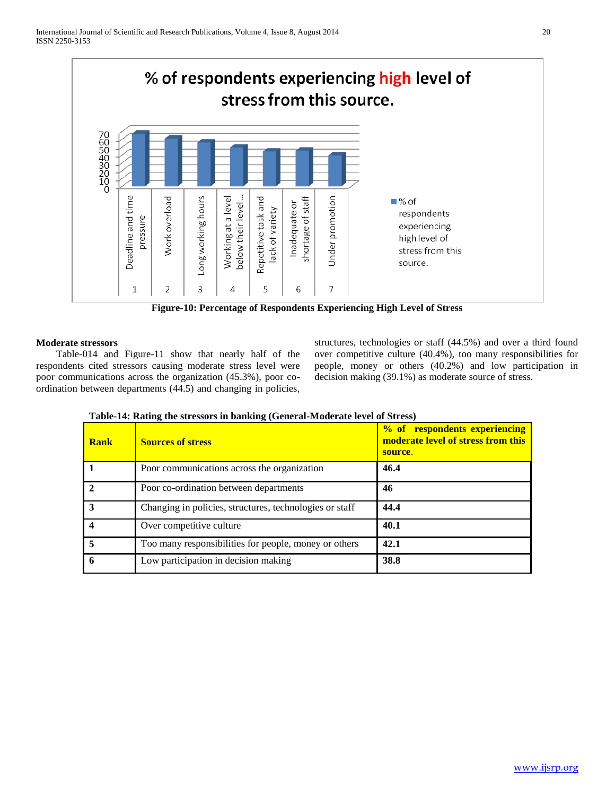

**Figure-10: Percentage of Respondents Experiencing High Level of Stress**

#### **Moderate stressors**

Table-014 and Figure-11 show that nearly half of the respondents cited stressors causing moderate stress level were poor communications across the organization (45.3%), poor coordination between departments (44.5) and changing in policies,

structures, technologies or staff (44.5%) and over a third found over competitive culture (40.4%), too many responsibilities for people, money or others (40.2%) and low participation in decision making (39.1%) as moderate source of stress.

| <b>Rank</b> | <b>Sources of stress</b>                                | % of respondents experiencing<br>moderate level of stress from this<br>source. |
|-------------|---------------------------------------------------------|--------------------------------------------------------------------------------|
|             | Poor communications across the organization             | 46.4                                                                           |
|             | Poor co-ordination between departments                  | 46                                                                             |
| 3           | Changing in policies, structures, technologies or staff | 44.4                                                                           |
|             | Over competitive culture                                | 40.1                                                                           |
|             | Too many responsibilities for people, money or others   | 42.1                                                                           |
|             | Low participation in decision making                    | 38.8                                                                           |

**Table-14: Rating the stressors in banking (General-Moderate level of Stress)**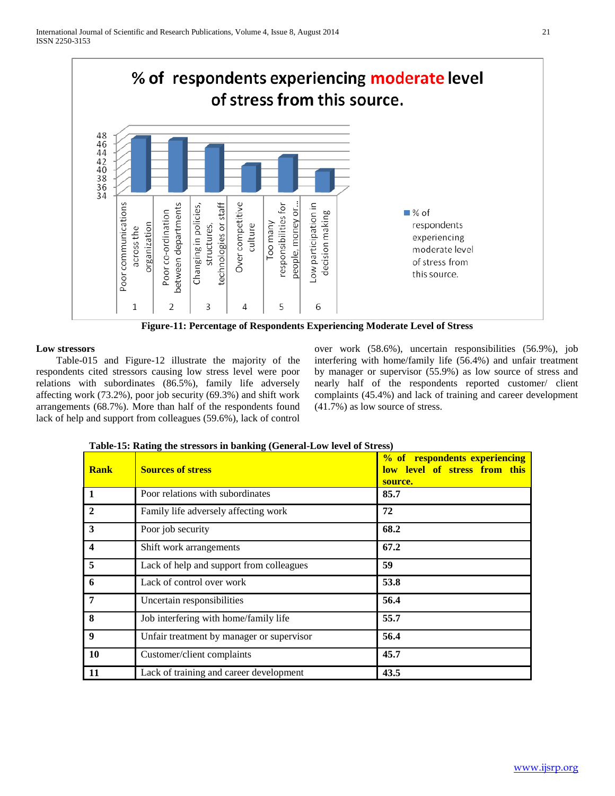

**Figure-11: Percentage of Respondents Experiencing Moderate Level of Stress**

#### **Low stressors**

Table-015 and Figure-12 illustrate the majority of the respondents cited stressors causing low stress level were poor relations with subordinates (86.5%), family life adversely affecting work (73.2%), poor job security (69.3%) and shift work arrangements (68.7%). More than half of the respondents found lack of help and support from colleagues (59.6%), lack of control

over work (58.6%), uncertain responsibilities (56.9%), job interfering with home/family life (56.4%) and unfair treatment by manager or supervisor (55.9%) as low source of stress and nearly half of the respondents reported customer/ client complaints (45.4%) and lack of training and career development (41.7%) as low source of stress.

| <b>Rank</b>      | <b>Sources of stress</b>                  | % of respondents experiencing<br>low level of stress from this<br>source. |
|------------------|-------------------------------------------|---------------------------------------------------------------------------|
| 1                | Poor relations with subordinates          | 85.7                                                                      |
| $\mathbf{2}$     | Family life adversely affecting work      | 72                                                                        |
| 3                | Poor job security                         | 68.2                                                                      |
| $\boldsymbol{4}$ | Shift work arrangements                   | 67.2                                                                      |
| 5                | Lack of help and support from colleagues  | 59                                                                        |
| 6                | Lack of control over work                 | 53.8                                                                      |
| $\overline{7}$   | Uncertain responsibilities                | 56.4                                                                      |
| 8                | Job interfering with home/family life     | 55.7                                                                      |
| 9                | Unfair treatment by manager or supervisor | 56.4                                                                      |
| 10               | Customer/client complaints                | 45.7                                                                      |
| 11               | Lack of training and career development   | 43.5                                                                      |

#### **Table-15: Rating the stressors in banking (General-Low level of Stress)**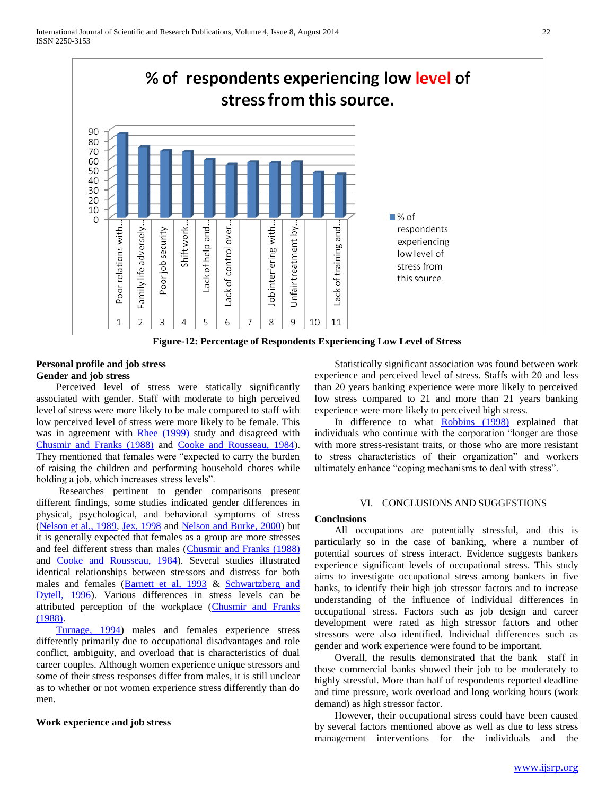

**Figure-12: Percentage of Respondents Experiencing Low Level of Stress**

#### **Personal profile and job stress Gender and job stress**

Perceived level of stress were statically significantly associated with gender. Staff with moderate to high perceived level of stress were more likely to be male compared to staff with low perceived level of stress were more likely to be female. This was in agreement with Rhee (1999) study and disagreed with Chusmir and Franks (1988) and Cooke and Rousseau, 1984). They mentioned that females were "expected to carry the burden of raising the children and performing household chores while holding a job, which increases stress levels".

Researches pertinent to gender comparisons present different findings, some studies indicated gender differences in physical, psychological, and behavioral symptoms of stress (Nelson et al., 1989, Jex, 1998 and Nelson and Burke, 2000) but it is generally expected that females as a group are more stresses and feel different stress than males (Chusmir and Franks (1988) and Cooke and Rousseau, 1984). Several studies illustrated identical relationships between stressors and distress for both males and females (Barnett et al, 1993 & Schwartzberg and Dytell, 1996). Various differences in stress levels can be attributed perception of the workplace (Chusmir and Franks (1988).

Turnage, 1994) males and females experience stress differently primarily due to occupational disadvantages and role conflict, ambiguity, and overload that is characteristics of dual career couples. Although women experience unique stressors and some of their stress responses differ from males, it is still unclear as to whether or not women experience stress differently than do men.

#### **Work experience and job stress**

Statistically significant association was found between work experience and perceived level of stress. Staffs with 20 and less than 20 years banking experience were more likely to perceived low stress compared to 21 and more than 21 years banking experience were more likely to perceived high stress.

In difference to what Robbins (1998) explained that individuals who continue with the corporation "longer are those with more stress-resistant traits, or those who are more resistant to stress characteristics of their organization" and workers ultimately enhance "coping mechanisms to deal with stress".

#### VI. CONCLUSIONS AND SUGGESTIONS

#### **Conclusions**

All occupations are potentially stressful, and this is particularly so in the case of banking, where a number of potential sources of stress interact. Evidence suggests bankers experience significant levels of occupational stress. This study aims to investigate occupational stress among bankers in five banks, to identify their high job stressor factors and to increase understanding of the influence of individual differences in occupational stress. Factors such as job design and career development were rated as high stressor factors and other stressors were also identified. Individual differences such as gender and work experience were found to be important.

Overall, the results demonstrated that the bank staff in those commercial banks showed their job to be moderately to highly stressful. More than half of respondents reported deadline and time pressure, work overload and long working hours (work demand) as high stressor factor.

However, their occupational stress could have been caused by several factors mentioned above as well as due to less stress management interventions for the individuals and the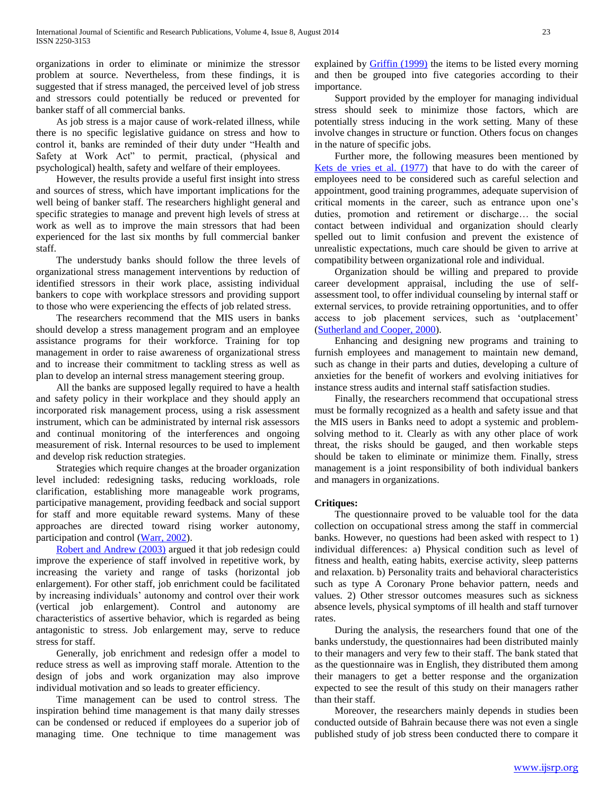organizations in order to eliminate or minimize the stressor problem at source. Nevertheless, from these findings, it is suggested that if stress managed, the perceived level of job stress and stressors could potentially be reduced or prevented for banker staff of all commercial banks.

As job stress is a major cause of work-related illness, while there is no specific legislative guidance on stress and how to control it, banks are reminded of their duty under "Health and Safety at Work Act" to permit, practical, (physical and psychological) health, safety and welfare of their employees.

However, the results provide a useful first insight into stress and sources of stress, which have important implications for the well being of banker staff. The researchers highlight general and specific strategies to manage and prevent high levels of stress at work as well as to improve the main stressors that had been experienced for the last six months by full commercial banker staff.

The understudy banks should follow the three levels of organizational stress management interventions by reduction of identified stressors in their work place, assisting individual bankers to cope with workplace stressors and providing support to those who were experiencing the effects of job related stress.

The researchers recommend that the MIS users in banks should develop a stress management program and an employee assistance programs for their workforce. Training for top management in order to raise awareness of organizational stress and to increase their commitment to tackling stress as well as plan to develop an internal stress management steering group.

All the banks are supposed legally required to have a health and safety policy in their workplace and they should apply an incorporated risk management process, using a risk assessment instrument, which can be administrated by internal risk assessors and continual monitoring of the interferences and ongoing measurement of risk. Internal resources to be used to implement and develop risk reduction strategies.

Strategies which require changes at the broader organization level included: redesigning tasks, reducing workloads, role clarification, establishing more manageable work programs, participative management, providing feedback and social support for staff and more equitable reward systems. Many of these approaches are directed toward rising worker autonomy, participation and control (Warr, 2002).

Robert and Andrew (2003) argued it that job redesign could improve the experience of staff involved in repetitive work, by increasing the variety and range of tasks (horizontal job enlargement). For other staff, job enrichment could be facilitated by increasing individuals' autonomy and control over their work (vertical job enlargement). Control and autonomy are characteristics of assertive behavior, which is regarded as being antagonistic to stress. Job enlargement may, serve to reduce stress for staff.

Generally, job enrichment and redesign offer a model to reduce stress as well as improving staff morale. Attention to the design of jobs and work organization may also improve individual motivation and so leads to greater efficiency.

Time management can be used to control stress. The inspiration behind time management is that many daily stresses can be condensed or reduced if employees do a superior job of managing time. One technique to time management was explained by Griffin (1999) the items to be listed every morning and then be grouped into five categories according to their importance.

Support provided by the employer for managing individual stress should seek to minimize those factors, which are potentially stress inducing in the work setting. Many of these involve changes in structure or function. Others focus on changes in the nature of specific jobs.

Further more, the following measures been mentioned by Kets de vries et al. (1977) that have to do with the career of employees need to be considered such as careful selection and appointment, good training programmes, adequate supervision of critical moments in the career, such as entrance upon one's duties, promotion and retirement or discharge… the social contact between individual and organization should clearly spelled out to limit confusion and prevent the existence of unrealistic expectations, much care should be given to arrive at compatibility between organizational role and individual.

Organization should be willing and prepared to provide career development appraisal, including the use of selfassessment tool, to offer individual counseling by internal staff or external services, to provide retraining opportunities, and to offer access to job placement services, such as 'outplacement' (Sutherland and Cooper, 2000).

Enhancing and designing new programs and training to furnish employees and management to maintain new demand, such as change in their parts and duties, developing a culture of anxieties for the benefit of workers and evolving initiatives for instance stress audits and internal staff satisfaction studies.

Finally, the researchers recommend that occupational stress must be formally recognized as a health and safety issue and that the MIS users in Banks need to adopt a systemic and problemsolving method to it. Clearly as with any other place of work threat, the risks should be gauged, and then workable steps should be taken to eliminate or minimize them. Finally, stress management is a joint responsibility of both individual bankers and managers in organizations.

#### **Critiques:**

The questionnaire proved to be valuable tool for the data collection on occupational stress among the staff in commercial banks. However, no questions had been asked with respect to 1) individual differences: a) Physical condition such as level of fitness and health, eating habits, exercise activity, sleep patterns and relaxation. b) Personality traits and behavioral characteristics such as type A Coronary Prone behavior pattern, needs and values. 2) Other stressor outcomes measures such as sickness absence levels, physical symptoms of ill health and staff turnover rates.

During the analysis, the researchers found that one of the banks understudy, the questionnaires had been distributed mainly to their managers and very few to their staff. The bank stated that as the questionnaire was in English, they distributed them among their managers to get a better response and the organization expected to see the result of this study on their managers rather than their staff.

Moreover, the researchers mainly depends in studies been conducted outside of Bahrain because there was not even a single published study of job stress been conducted there to compare it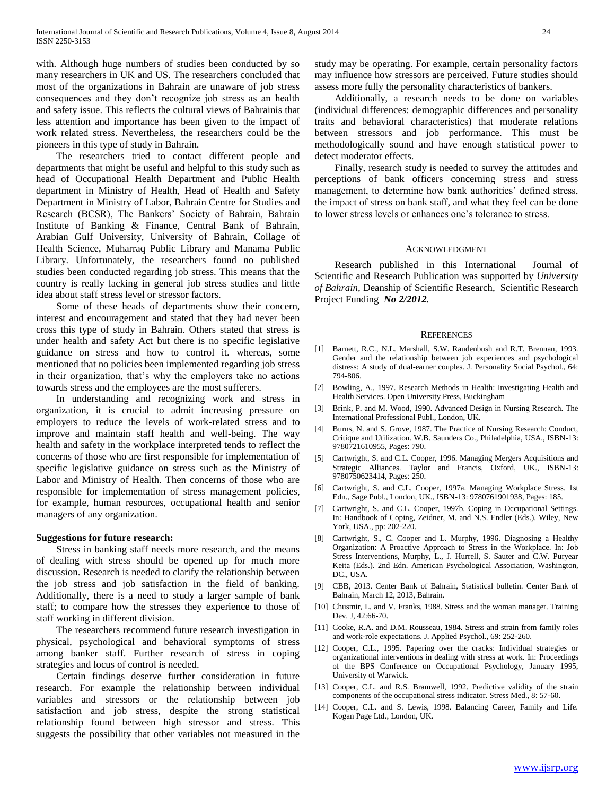with. Although huge numbers of studies been conducted by so many researchers in UK and US. The researchers concluded that most of the organizations in Bahrain are unaware of job stress consequences and they don't recognize job stress as an health and safety issue. This reflects the cultural views of Bahrainis that less attention and importance has been given to the impact of work related stress. Nevertheless, the researchers could be the pioneers in this type of study in Bahrain.

The researchers tried to contact different people and departments that might be useful and helpful to this study such as head of Occupational Health Department and Public Health department in Ministry of Health, Head of Health and Safety Department in Ministry of Labor, Bahrain Centre for Studies and Research (BCSR), The Bankers' Society of Bahrain, Bahrain Institute of Banking & Finance, Central Bank of Bahrain, Arabian Gulf University, University of Bahrain, Collage of Health Science, Muharraq Public Library and Manama Public Library. Unfortunately, the researchers found no published studies been conducted regarding job stress. This means that the country is really lacking in general job stress studies and little idea about staff stress level or stressor factors.

Some of these heads of departments show their concern, interest and encouragement and stated that they had never been cross this type of study in Bahrain. Others stated that stress is under health and safety Act but there is no specific legislative guidance on stress and how to control it. whereas, some mentioned that no policies been implemented regarding job stress in their organization, that's why the employers take no actions towards stress and the employees are the most sufferers.

In understanding and recognizing work and stress in organization, it is crucial to admit increasing pressure on employers to reduce the levels of work-related stress and to improve and maintain staff health and well-being. The way health and safety in the workplace interpreted tends to reflect the concerns of those who are first responsible for implementation of specific legislative guidance on stress such as the Ministry of Labor and Ministry of Health. Then concerns of those who are responsible for implementation of stress management policies, for example, human resources, occupational health and senior managers of any organization.

#### **Suggestions for future research:**

Stress in banking staff needs more research, and the means of dealing with stress should be opened up for much more discussion. Research is needed to clarify the relationship between the job stress and job satisfaction in the field of banking. Additionally, there is a need to study a larger sample of bank staff; to compare how the stresses they experience to those of staff working in different division.

The researchers recommend future research investigation in physical, psychological and behavioral symptoms of stress among banker staff. Further research of stress in coping strategies and locus of control is needed.

Certain findings deserve further consideration in future research. For example the relationship between individual variables and stressors or the relationship between job satisfaction and job stress, despite the strong statistical relationship found between high stressor and stress. This suggests the possibility that other variables not measured in the

study may be operating. For example, certain personality factors may influence how stressors are perceived. Future studies should assess more fully the personality characteristics of bankers.

Additionally, a research needs to be done on variables (individual differences: demographic differences and personality traits and behavioral characteristics) that moderate relations between stressors and job performance. This must be methodologically sound and have enough statistical power to detect moderator effects.

Finally, research study is needed to survey the attitudes and perceptions of bank officers concerning stress and stress management, to determine how bank authorities' defined stress, the impact of stress on bank staff, and what they feel can be done to lower stress levels or enhances one's tolerance to stress.

#### ACKNOWLEDGMENT

Research published in this International Journal of Scientific and Research Publication was supported by *University of Bahrain,* Deanship of Scientific Research, Scientific Research Project Funding *No 2/2012.* 

#### **REFERENCES**

- [1] Barnett, R.C., N.L. Marshall, S.W. Raudenbush and R.T. Brennan, 1993. Gender and the relationship between job experiences and psychological distress: A study of dual-earner couples. J. Personality Social Psychol., 64: 794-806.
- [2] Bowling, A., 1997. Research Methods in Health: Investigating Health and Health Services. Open University Press, Buckingham
- [3] Brink, P. and M. Wood, 1990. Advanced Design in Nursing Research. The International Professional Publ., London, UK.
- [4] Burns, N. and S. Grove, 1987. The Practice of Nursing Research: Conduct, Critique and Utilization. W.B. Saunders Co., Philadelphia, USA., ISBN-13: 9780721610955, Pages: 790.
- [5] Cartwright, S. and C.L. Cooper, 1996. Managing Mergers Acquisitions and Strategic Alliances. Taylor and Francis, Oxford, UK., ISBN-13: 9780750623414, Pages: 250.
- [6] Cartwright, S. and C.L. Cooper, 1997a. Managing Workplace Stress. 1st Edn., Sage Publ., London, UK., ISBN-13: 9780761901938, Pages: 185.
- [7] Cartwright, S. and C.L. Cooper, 1997b. Coping in Occupational Settings. In: Handbook of Coping, Zeidner, M. and N.S. Endler (Eds.). Wiley, New York, USA., pp: 202-220.
- [8] Cartwright, S., C. Cooper and L. Murphy, 1996. Diagnosing a Healthy Organization: A Proactive Approach to Stress in the Workplace. In: Job Stress Interventions, Murphy, L., J. Hurrell, S. Sauter and C.W. Puryear Keita (Eds.). 2nd Edn. American Psychological Association, Washington, DC., USA.
- [9] CBB, 2013. Center Bank of Bahrain, Statistical bulletin. Center Bank of Bahrain, March 12, 2013, Bahrain.
- [10] Chusmir, L. and V. Franks, 1988. Stress and the woman manager. Training Dev. J, 42:66-70.
- [11] Cooke, R.A. and D.M. Rousseau, 1984. Stress and strain from family roles and work-role expectations. J. Applied Psychol., 69: 252-260.
- [12] Cooper, C.L., 1995. Papering over the cracks: Individual strategies or organizational interventions in dealing with stress at work. In: Proceedings of the BPS Conference on Occupational Psychology, January 1995, University of Warwick.
- [13] Cooper, C.L. and R.S. Bramwell, 1992. Predictive validity of the strain components of the occupational stress indicator. Stress Med., 8: 57-60.
- [14] Cooper, C.L. and S. Lewis, 1998. Balancing Career, Family and Life. Kogan Page Ltd., London, UK.